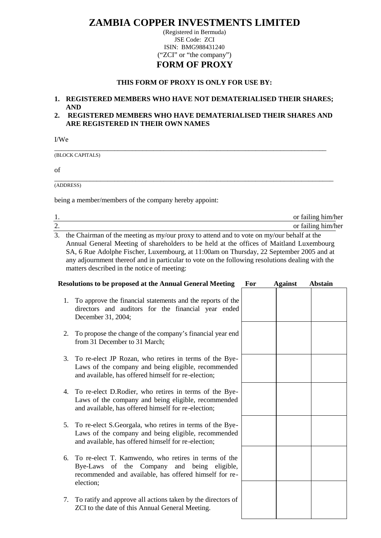# **ZAMBIA COPPER INVESTMENTS LIMITED**

(Registered in Bermuda) JSE Code: ZCI ISIN: BMG988431240 ("ZCI" or "the company") **FORM OF PROXY**

### **THIS FORM OF PROXY IS ONLY FOR USE BY:**

## **1. REGISTERED MEMBERS WHO HAVE NOT DEMATERIALISED THEIR SHARES; AND**

## **2. REGISTERED MEMBERS WHO HAVE DEMATERIALISED THEIR SHARES AND ARE REGISTERED IN THEIR OWN NAMES**

\_\_\_\_\_\_\_\_\_\_\_\_\_\_\_\_\_\_\_\_\_\_\_\_\_\_\_\_\_\_\_\_\_\_\_\_\_\_\_\_\_\_\_\_\_\_\_\_\_\_\_\_\_\_\_\_\_\_\_\_\_\_\_\_\_\_\_\_\_\_\_\_\_\_\_\_\_

\_\_\_\_\_\_\_\_\_\_\_\_\_\_\_\_\_\_\_\_\_\_\_\_\_\_\_\_\_\_\_\_\_\_\_\_\_\_\_\_\_\_\_\_\_\_\_\_\_\_\_\_\_\_\_\_\_\_\_\_\_\_\_\_\_\_\_\_\_\_\_\_\_\_\_\_\_\_\_

(BLOCK CAPITALS)

of

(ADDRESS)

being a member/members of the company hereby appoint:

|                                                                                                                                                                                                                                                                                                                                                                                                                                                       |                                                                                                                                                                               |     |                | or failing him/her |  |
|-------------------------------------------------------------------------------------------------------------------------------------------------------------------------------------------------------------------------------------------------------------------------------------------------------------------------------------------------------------------------------------------------------------------------------------------------------|-------------------------------------------------------------------------------------------------------------------------------------------------------------------------------|-----|----------------|--------------------|--|
| $\frac{1}{2}$ .                                                                                                                                                                                                                                                                                                                                                                                                                                       |                                                                                                                                                                               |     |                | or failing him/her |  |
| $\overline{3}$ .<br>the Chairman of the meeting as my/our proxy to attend and to vote on my/our behalf at the<br>Annual General Meeting of shareholders to be held at the offices of Maitland Luxembourg<br>SA, 6 Rue Adolphe Fischer, Luxembourg, at 11:00am on Thursday, 22 September 2005 and at<br>any adjournment thereof and in particular to vote on the following resolutions dealing with the<br>matters described in the notice of meeting: |                                                                                                                                                                               |     |                |                    |  |
|                                                                                                                                                                                                                                                                                                                                                                                                                                                       | <b>Resolutions to be proposed at the Annual General Meeting</b>                                                                                                               | For | <b>Against</b> | <b>Abstain</b>     |  |
| 1.                                                                                                                                                                                                                                                                                                                                                                                                                                                    | To approve the financial statements and the reports of the<br>directors and auditors for the financial year ended<br>December 31, 2004;                                       |     |                |                    |  |
| 2.                                                                                                                                                                                                                                                                                                                                                                                                                                                    | To propose the change of the company's financial year end<br>from 31 December to 31 March;                                                                                    |     |                |                    |  |
| 3.                                                                                                                                                                                                                                                                                                                                                                                                                                                    | To re-elect JP Rozan, who retires in terms of the Bye-<br>Laws of the company and being eligible, recommended<br>and available, has offered himself for re-election;          |     |                |                    |  |
| 4.                                                                                                                                                                                                                                                                                                                                                                                                                                                    | To re-elect D.Rodier, who retires in terms of the Bye-<br>Laws of the company and being eligible, recommended<br>and available, has offered himself for re-election;          |     |                |                    |  |
| 5.                                                                                                                                                                                                                                                                                                                                                                                                                                                    | To re-elect S.Georgala, who retires in terms of the Bye-<br>Laws of the company and being eligible, recommended<br>and available, has offered himself for re-election;        |     |                |                    |  |
| 6.                                                                                                                                                                                                                                                                                                                                                                                                                                                    | To re-elect T. Kamwendo, who retires in terms of the<br>Bye-Laws of the Company and being<br>eligible,<br>recommended and available, has offered himself for re-<br>election; |     |                |                    |  |
| 7.                                                                                                                                                                                                                                                                                                                                                                                                                                                    | To ratify and approve all actions taken by the directors of<br>ZCI to the date of this Annual General Meeting.                                                                |     |                |                    |  |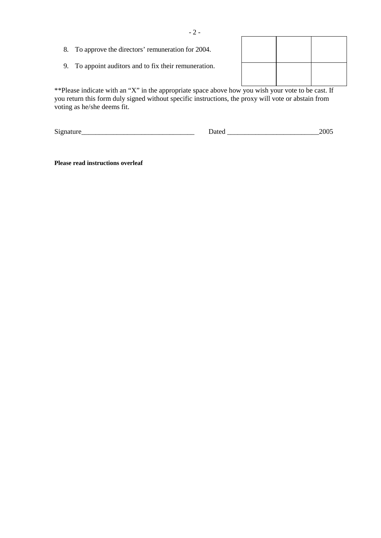- 8. To approve the directors' remuneration for 2004.
- 9. To appoint auditors and to fix their remuneration.

\*\*Please indicate with an "X" in the appropriate space above how you wish your vote to be cast. If you return this form duly signed without specific instructions, the proxy will vote or abstain from voting as he/she deems fit.

| Sign |  | $\sim$ $\sim$ $-$<br>. .<br>$\ddotsc$ |
|------|--|---------------------------------------|
|------|--|---------------------------------------|

**Please read instructions overleaf**